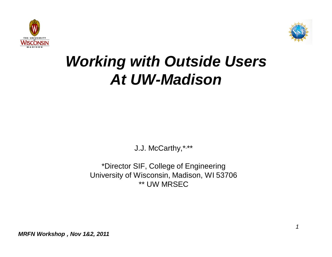



# *Working with Outside Users At UW-Madison*

J.J. McCarthy,\*, \*\*

\*Director SIF, College of Engineering University of Wisconsin, Madison, WI 53706 \*\* UW MRSEC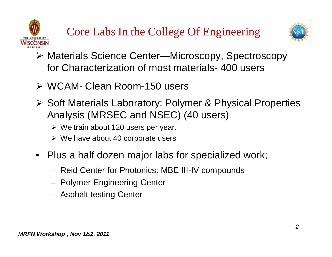



- ¾ Materials Science Center—Microscopy, Spectroscopy for Characterization of most materials- 400 users
- ¾ WCAM- Clean Room-150 users
- ¾ Soft Materials Laboratory: Polymer & Physical Properties Analysis (MRSEC and NSEC) (40 users)
	- $\triangleright$  We train about 120 users per year.
	- $\triangleright$  We have about 40 corporate users
- Plus a half dozen major labs for specialized work;
	- Reid Center for Photonics: MBE III-IV compounds
	- Polymer Engineering Center
	- Asphalt testing Center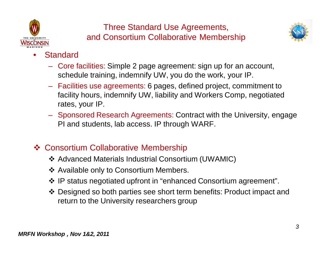

## Three Standard Use Agreements, and Consortium Collaborative Membership



- **Standard** 
	- Core facilities: Simple 2 page agreement: sign up for an account, schedule training, indemnify UW, you do the work, your IP.
	- Facilities use agreements: 6 pages, defined project, commitment to facility hours, indemnify UW, liability and Workers Comp, negotiated rates, your IP.
	- Sponsored Research Agreements: Contract with the University, engage PI and students, lab access. IP through WARF.

## ❖ Consortium Collaborative Membership

- Advanced Materials Industrial Consortium (UWAMIC)
- ❖ Available only to Consortium Members.
- IP status negotiated upfront in "enhanced Consortium agreement".
- Designed so both parties see short term benefits: Product impact and return to the University researchers group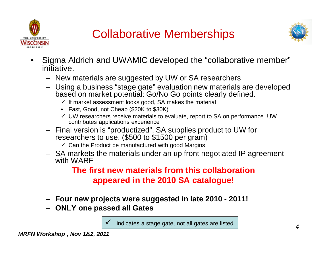





- Sigma Aldrich and UWAMIC developed the "collaborative member" initiative.
	- New materials are suggested by UW or SA researchers
	- Using a business "stage gate" evaluation new materials are developed based on market potential: Go/No Go points clearly defined.
		- $\checkmark$  If market assessment looks good, SA makes the material
		- Fast, Good, not Cheap (\$20K to \$30K)
		- $\checkmark$  UW researchers receive materials to evaluate, report to SA on performance. UW contributes applications experience
	- Final version is "productized", SA supplies product to UW for researchers to use. (\$500 to \$1500 per gram)
		- $\checkmark$  Can the Product be manufactured with good Margins
	- SA markets the materials under an up front negotiated IP agreement with WARF

### **The first new materials from this collaboration appeared in the 2010 SA catalogue!**

- **Four new projects were suggested in late 2010 2011!**
- **ONLY one passed all Gates**

 $\checkmark$  indicates a stage gate, not all gates are listed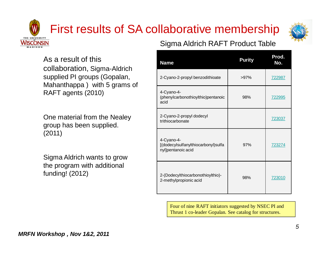# First results of SA collaborative membership



As a result of this collaboration, Sigma-Aldrich supplied PI groups (Gopalan, Mahanthappa ) with 5 grams of RAFT agents (2010)

One material from the Nealey group has been supplied. (2011)

Sigma Aldrich wants to grow the program with additional funding! (2012)

#### Sigma Aldrich RAFT Product Table

| <b>Name</b>                                                             | <b>Purity</b> | Prod.<br>No. |
|-------------------------------------------------------------------------|---------------|--------------|
| 2-Cyano-2-propyl benzodithioate                                         | >97%          | 722987       |
| 4-Cyano-4-<br>(phenylcarbonothioylthio)pentanoic<br>acid                | 98%           | 722995       |
| 2-Cyano-2-propyl dodecyl<br>trithiocarbonate                            |               | 723037       |
| 4-Cyano-4-<br>[(dodecylsulfanylthiocarbonyl)sulfa<br>nyl]pentanoic acid | 97%           | 723274       |
| 2-(Dodecylthiocarbonothioylthio)-<br>2-methylpropionic acid             | 98%           | 723010       |

Four of nine RAFT initiators suggested by NSEC PI and Thrust 1 co-leader Gopalan. See catalog for structures.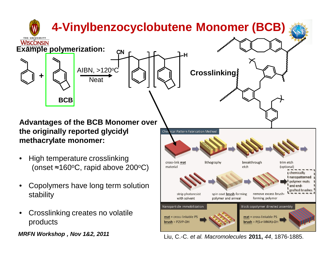

*MRFN Workshop , Nov 1&2, 2011*

Liu, C.-C. *et al. Macromolecules* **2011,** *44*, 1876-1885.